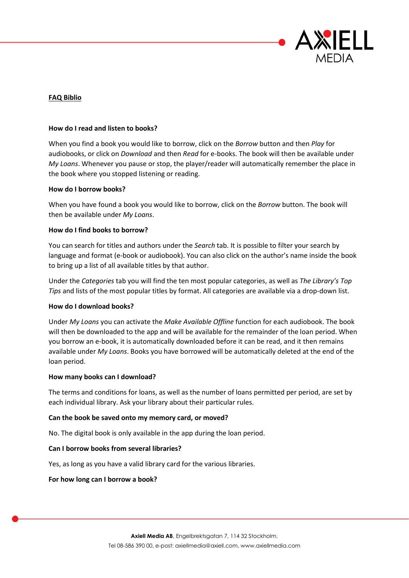

# **FAQ Biblio**

## **How do I read and listen to books?**

When you find a book you would like to borrow, click on the *Borrow* button and then *Play* for audiobooks, or click on *Download* and then *Read* for e-books. The book will then be available under *My Loans*. Whenever you pause or stop, the player/reader will automatically remember the place in the book where you stopped listening or reading.

### **How do I borrow books?**

When you have found a book you would like to borrow, click on the *Borrow* button. The book will then be available under *My Loans*.

## **How do I find books to borrow?**

You can search for titles and authors under the *Search* tab. It is possible to filter your search by language and format (e-book or audiobook). You can also click on the author's name inside the book to bring up a list of all available titles by that author.

Under the *Categories* tab you will find the ten most popular categories, as well as *The Library's Top Tips* and lists of the most popular titles by format. All categories are available via a drop-down list.

### **How do I download books?**

Under *My Loans* you can activate the *Make Available Offline* function for each audiobook. The book will then be downloaded to the app and will be available for the remainder of the loan period. When you borrow an e-book, it is automatically downloaded before it can be read, and it then remains available under *My Loans*. Books you have borrowed will be automatically deleted at the end of the loan period.

### **How many books can I download?**

The terms and conditions for loans, as well as the number of loans permitted per period, are set by each individual library. Ask your library about their particular rules.

### **Can the book be saved onto my memory card, or moved?**

No. The digital book is only available in the app during the loan period.

### **Can I borrow books from several libraries?**

Yes, as long as you have a valid library card for the various libraries.

## **For how long can I borrow a book?**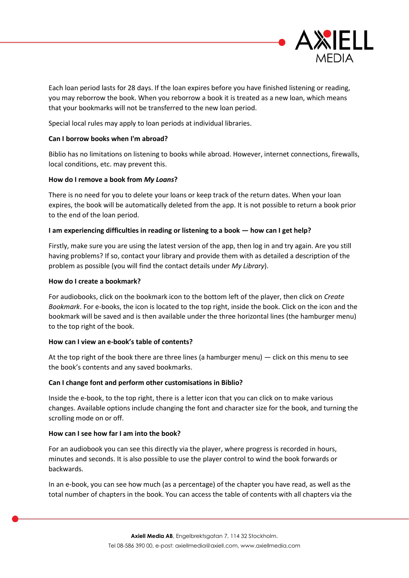

Each loan period lasts for 28 days. If the loan expires before you have finished listening or reading, you may reborrow the book. When you reborrow a book it is treated as a new loan, which means that your bookmarks will not be transferred to the new loan period.

Special local rules may apply to loan periods at individual libraries.

# **Can I borrow books when I'm abroad?**

Biblio has no limitations on listening to books while abroad. However, internet connections, firewalls, local conditions, etc. may prevent this.

# **How do I remove a book from** *My Loans***?**

There is no need for you to delete your loans or keep track of the return dates. When your loan expires, the book will be automatically deleted from the app. It is not possible to return a book prior to the end of the loan period.

# **I am experiencing difficulties in reading or listening to a book — how can I get help?**

Firstly, make sure you are using the latest version of the app, then log in and try again. Are you still having problems? If so, contact your library and provide them with as detailed a description of the problem as possible (you will find the contact details under *My Library*).

# **How do I create a bookmark?**

For audiobooks, click on the bookmark icon to the bottom left of the player, then click on *Create Bookmark*. For e-books, the icon is located to the top right, inside the book. Click on the icon and the bookmark will be saved and is then available under the three horizontal lines (the hamburger menu) to the top right of the book.

# **How can I view an e-book's table of contents?**

At the top right of the book there are three lines (a hamburger menu) — click on this menu to see the book's contents and any saved bookmarks.

# **Can I change font and perform other customisations in Biblio?**

Inside the e-book, to the top right, there is a letter icon that you can click on to make various changes. Available options include changing the font and character size for the book, and turning the scrolling mode on or off.

# **How can I see how far I am into the book?**

For an audiobook you can see this directly via the player, where progress is recorded in hours, minutes and seconds. It is also possible to use the player control to wind the book forwards or backwards.

In an e-book, you can see how much (as a percentage) of the chapter you have read, as well as the total number of chapters in the book. You can access the table of contents with all chapters via the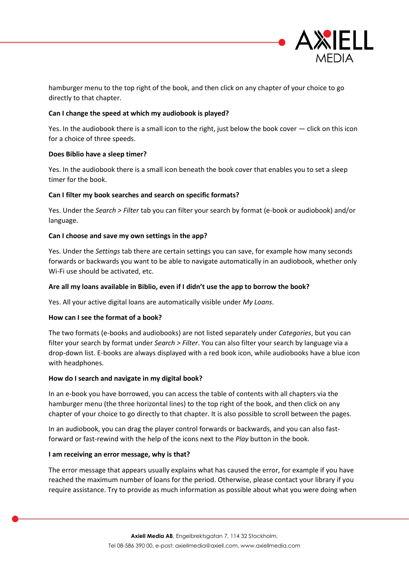

hamburger menu to the top right of the book, and then click on any chapter of your choice to go directly to that chapter.

# **Can I change the speed at which my audiobook is played?**

Yes. In the audiobook there is a small icon to the right, just below the book cover — click on this icon for a choice of three speeds.

## **Does Biblio have a sleep timer?**

Yes. In the audiobook there is a small icon beneath the book cover that enables you to set a sleep timer for the book.

## **Can I filter my book searches and search on specific formats?**

Yes. Under the *Search > Filter* tab you can filter your search by format (e-book or audiobook) and/or language.

## **Can I choose and save my own settings in the app?**

Yes. Under the *Settings* tab there are certain settings you can save, for example how many seconds forwards or backwards you want to be able to navigate automatically in an audiobook, whether only Wi-Fi use should be activated, etc.

## **Are all my loans available in Biblio, even if I didn't use the app to borrow the book?**

Yes. All your active digital loans are automatically visible under *My Loans*.

### **How can I see the format of a book?**

The two formats (e-books and audiobooks) are not listed separately under *Categories*, but you can filter your search by format under *Search > Filter*. You can also filter your search by language via a drop-down list. E-books are always displayed with a red book icon, while audiobooks have a blue icon with headphones.

### **How do I search and navigate in my digital book?**

In an e-book you have borrowed, you can access the table of contents with all chapters via the hamburger menu (the three horizontal lines) to the top right of the book, and then click on any chapter of your choice to go directly to that chapter. It is also possible to scroll between the pages.

In an audiobook, you can drag the player control forwards or backwards, and you can also fastforward or fast-rewind with the help of the icons next to the *Play* button in the book.

### **I am receiving an error message, why is that?**

The error message that appears usually explains what has caused the error, for example if you have reached the maximum number of loans for the period. Otherwise, please contact your library if you require assistance. Try to provide as much information as possible about what you were doing when